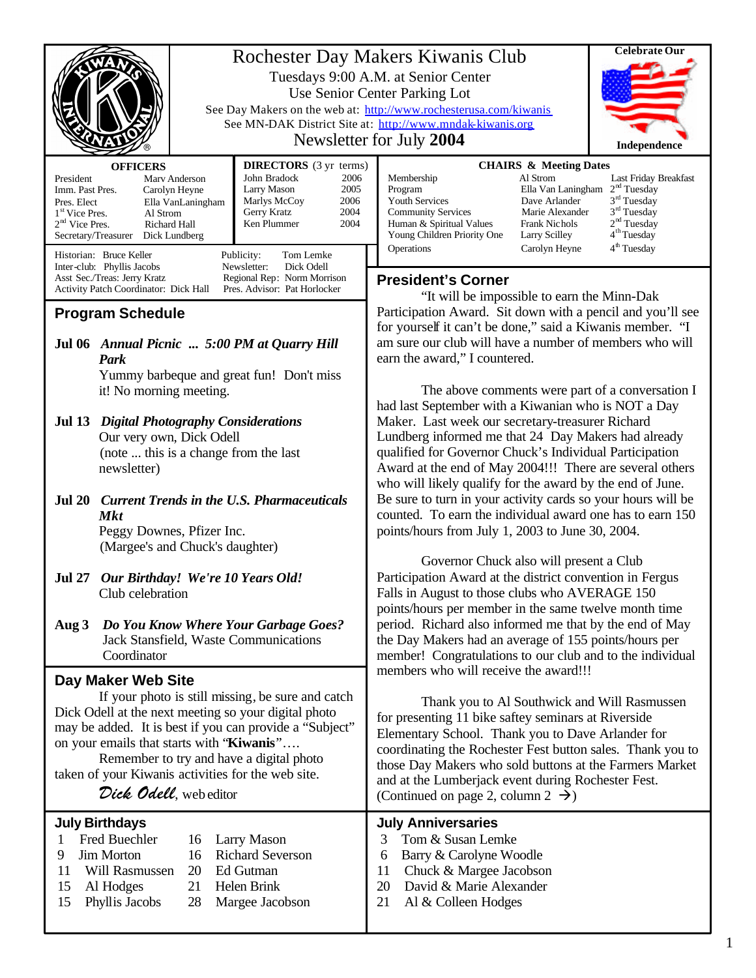|                                                                                                                                                                                                                                                                                                                                                                     |                                                                                                                                                                                                                                      | Rochester Day Makers Kiwanis Club<br>Tuesdays 9:00 A.M. at Senior Center<br>Use Senior Center Parking Lot<br>See Day Makers on the web at: http://www.rochesterusa.com/kiwanis<br>See MN-DAK District Site at: http://www.mndak-kiwanis.org<br>Newsletter for July 2004                                                                                                                   |                                                                                                                                                                                                                                                                                                                                                       |  |  |
|---------------------------------------------------------------------------------------------------------------------------------------------------------------------------------------------------------------------------------------------------------------------------------------------------------------------------------------------------------------------|--------------------------------------------------------------------------------------------------------------------------------------------------------------------------------------------------------------------------------------|-------------------------------------------------------------------------------------------------------------------------------------------------------------------------------------------------------------------------------------------------------------------------------------------------------------------------------------------------------------------------------------------|-------------------------------------------------------------------------------------------------------------------------------------------------------------------------------------------------------------------------------------------------------------------------------------------------------------------------------------------------------|--|--|
| <b>OFFICERS</b><br>President<br>Imm. Past Pres.<br>Pres. Elect<br>$1st$ Vice Pres.<br>Al Strom<br>$2nd$ Vice Pres.<br>Richard Hall<br>Secretary/Treasurer Dick Lundberg<br>Historian: Bruce Keller                                                                                                                                                                  | <b>DIRECTORS</b> (3 yr terms)<br>John Bradock<br>2006<br>Marv Anderson<br>Larry Mason<br>2005<br>Carolyn Heyne<br>Marlys McCoy<br>2006<br>Ella VanLaningham<br>2004<br>Gerry Kratz<br>Ken Plummer<br>2004<br>Publicity:<br>Tom Lemke | Membership<br>Program<br><b>Youth Services</b><br><b>Community Services</b><br>Human & Spiritual Values<br>Young Children Priority One<br>Operations                                                                                                                                                                                                                                      | <b>CHAIRS &amp; Meeting Dates</b><br>Al Strom<br>Last Friday Breakfast<br>2 <sup>nd</sup> Tuesday<br>Ella Van Laningham<br>3 <sup>rd</sup> Tuesday<br>Dave Arlander<br>3 <sup>rd</sup> Tuesday<br>Marie Alexander<br>2 <sup>nd</sup> Tuesday<br>Frank Nichols<br>4 <sup>th</sup> Tuesday<br>Larry Scilley<br>4 <sup>th</sup> Tuesday<br>Carolyn Heyne |  |  |
| Inter-club: Phyllis Jacobs<br>Newsletter:<br>Dick Odell<br>Asst Sec./Treas: Jerry Kratz<br>Regional Rep: Norm Morrison<br>Activity Patch Coordinator: Dick Hall<br>Pres. Advisor: Pat Horlocker<br><b>Program Schedule</b>                                                                                                                                          |                                                                                                                                                                                                                                      | <b>President's Corner</b><br>"It will be impossible to earn the Minn-Dak<br>Participation Award. Sit down with a pencil and you'll see                                                                                                                                                                                                                                                    |                                                                                                                                                                                                                                                                                                                                                       |  |  |
| Jul 06 Annual Picnic  5:00 PM at Quarry Hill<br>Park                                                                                                                                                                                                                                                                                                                |                                                                                                                                                                                                                                      | for yourself it can't be done," said a Kiwanis member. "I<br>am sure our club will have a number of members who will<br>earn the award," I countered.                                                                                                                                                                                                                                     |                                                                                                                                                                                                                                                                                                                                                       |  |  |
| Yummy barbeque and great fun! Don't miss<br>it! No morning meeting.<br>Jul 13 Digital Photography Considerations                                                                                                                                                                                                                                                    |                                                                                                                                                                                                                                      | The above comments were part of a conversation I<br>had last September with a Kiwanian who is NOT a Day<br>Maker. Last week our secretary-treasurer Richard                                                                                                                                                                                                                               |                                                                                                                                                                                                                                                                                                                                                       |  |  |
| Our very own, Dick Odell<br>(note  this is a change from the last<br>newsletter)                                                                                                                                                                                                                                                                                    |                                                                                                                                                                                                                                      | Lundberg informed me that 24 Day Makers had already<br>qualified for Governor Chuck's Individual Participation<br>Award at the end of May 2004!!! There are several others<br>who will likely qualify for the award by the end of June.                                                                                                                                                   |                                                                                                                                                                                                                                                                                                                                                       |  |  |
| Jul 20 Current Trends in the U.S. Pharmaceuticals<br><b>Mkt</b><br>Peggy Downes, Pfizer Inc.<br>(Margee's and Chuck's daughter)                                                                                                                                                                                                                                     |                                                                                                                                                                                                                                      | Be sure to turn in your activity cards so your hours will be<br>counted. To earn the individual award one has to earn 150<br>points/hours from July 1, 2003 to June 30, 2004.                                                                                                                                                                                                             |                                                                                                                                                                                                                                                                                                                                                       |  |  |
| Jul 27 Our Birthday! We're 10 Years Old!<br>Club celebration                                                                                                                                                                                                                                                                                                        |                                                                                                                                                                                                                                      | Governor Chuck also will present a Club<br>Participation Award at the district convention in Fergus<br>Falls in August to those clubs who AVERAGE 150<br>points/hours per member in the same twelve month time                                                                                                                                                                            |                                                                                                                                                                                                                                                                                                                                                       |  |  |
| Aug $3$<br>Coordinator                                                                                                                                                                                                                                                                                                                                              | Do You Know Where Your Garbage Goes?<br>Jack Stansfield, Waste Communications                                                                                                                                                        |                                                                                                                                                                                                                                                                                                                                                                                           | period. Richard also informed me that by the end of May<br>the Day Makers had an average of 155 points/hours per<br>member! Congratulations to our club and to the individual<br>members who will receive the award!!!                                                                                                                                |  |  |
| Day Maker Web Site<br>If your photo is still missing, be sure and catch<br>Dick Odell at the next meeting so your digital photo<br>may be added. It is best if you can provide a "Subject"<br>on your emails that starts with "Kiwanis"<br>Remember to try and have a digital photo<br>taken of your Kiwanis activities for the web site.<br>Dick Odell, web editor |                                                                                                                                                                                                                                      | Thank you to Al Southwick and Will Rasmussen<br>for presenting 11 bike saftey seminars at Riverside<br>Elementary School. Thank you to Dave Arlander for<br>coordinating the Rochester Fest button sales. Thank you to<br>those Day Makers who sold buttons at the Farmers Market<br>and at the Lumberjack event during Rochester Fest.<br>(Continued on page 2, column $2 \rightarrow$ ) |                                                                                                                                                                                                                                                                                                                                                       |  |  |
| <b>July Birthdays</b><br>Fred Buechler<br>Larry Mason<br>1<br>16<br><b>Richard Severson</b><br><b>Jim Morton</b><br>9<br>16<br>Ed Gutman<br>11<br>Will Rasmussen<br>20<br>15<br>Al Hodges<br>21<br>Helen Brink<br>15<br>Phyllis Jacobs<br>28<br>Margee Jacobson                                                                                                     |                                                                                                                                                                                                                                      | <b>July Anniversaries</b><br>Tom & Susan Lemke<br>3<br>Barry & Carolyne Woodle<br>6<br>Chuck & Margee Jacobson<br>11<br>20<br>David & Marie Alexander<br>Al & Colleen Hodges<br>21                                                                                                                                                                                                        |                                                                                                                                                                                                                                                                                                                                                       |  |  |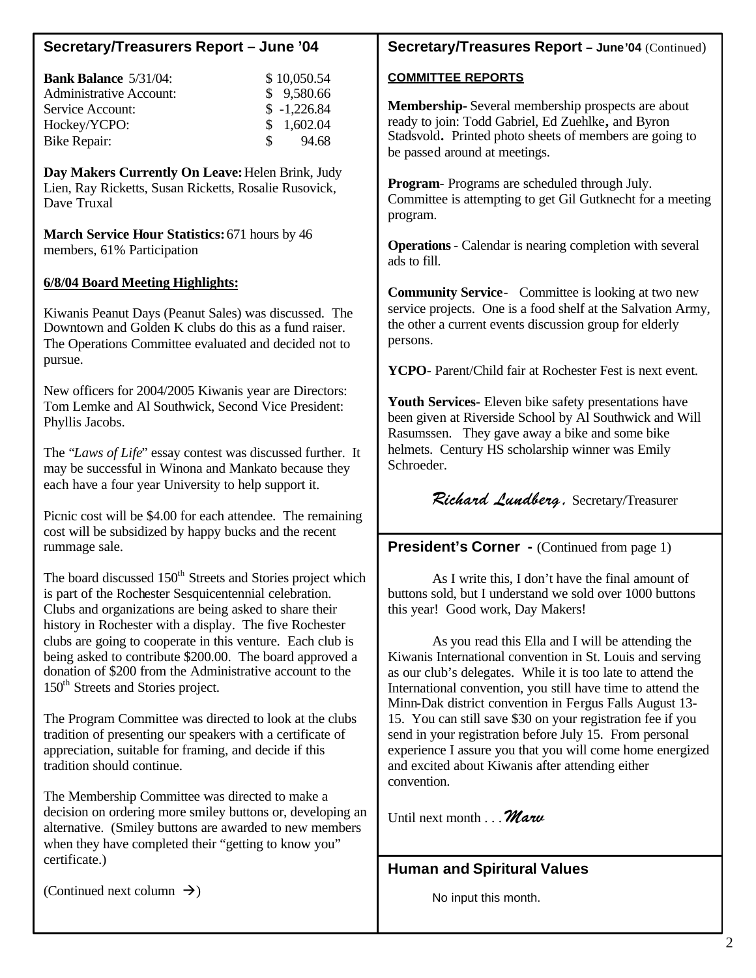# **Secretary/Treasurers Report – June '04**

| <b>Bank Balance 5/31/04:</b>   |               | \$10,050.54   |
|--------------------------------|---------------|---------------|
| <b>Administrative Account:</b> |               | \$9,580.66    |
| Service Account:               |               | $$ -1,226.84$ |
| Hockey/YCPO:                   |               | \$1,602.04    |
| Bike Repair:                   | $\mathcal{S}$ | 94.68         |

**Day Makers Currently On Leave:** Helen Brink, Judy Lien, Ray Ricketts, Susan Ricketts, Rosalie Rusovick, Dave Truxal

**March Service Hour Statistics:** 671 hours by 46 members, 61% Participation

#### **6/8/04 Board Meeting Highlights:**

Kiwanis Peanut Days (Peanut Sales) was discussed. The Downtown and Golden K clubs do this as a fund raiser. The Operations Committee evaluated and decided not to pursue.

New officers for 2004/2005 Kiwanis year are Directors: Tom Lemke and Al Southwick, Second Vice President: Phyllis Jacobs.

The "*Laws of Life*" essay contest was discussed further. It may be successful in Winona and Mankato because they each have a four year University to help support it.

Picnic cost will be \$4.00 for each attendee. The remaining cost will be subsidized by happy bucks and the recent rummage sale.

The board discussed  $150<sup>th</sup>$  Streets and Stories project which is part of the Rochester Sesquicentennial celebration. Clubs and organizations are being asked to share their history in Rochester with a display. The five Rochester clubs are going to cooperate in this venture. Each club is being asked to contribute \$200.00. The board approved a donation of \$200 from the Administrative account to the 150<sup>th</sup> Streets and Stories project.

The Program Committee was directed to look at the clubs tradition of presenting our speakers with a certificate of appreciation, suitable for framing, and decide if this tradition should continue.

The Membership Committee was directed to make a decision on ordering more smiley buttons or, developing an alternative. (Smiley buttons are awarded to new members when they have completed their "getting to know you" certificate.)

### **Secretary/Treasures Report – June'04** (Continued)

#### **COMMITTEE REPORTS**

**Membership-** Several membership prospects are about ready to join: Todd Gabriel, Ed Zuehlke**,** and Byron Stadsvold**.** Printed photo sheets of members are going to be passed around at meetings.

**Program**- Programs are scheduled through July. Committee is attempting to get Gil Gutknecht for a meeting program.

**Operations**- Calendar is nearing completion with several ads to fill.

**Community Service**- Committee is looking at two new service projects. One is a food shelf at the Salvation Army, the other a current events discussion group for elderly persons.

**YCPO**- Parent/Child fair at Rochester Fest is next event.

**Youth Services**- Eleven bike safety presentations have been given at Riverside School by Al Southwick and Will Rasumssen. They gave away a bike and some bike helmets. Century HS scholarship winner was Emily Schroeder.

Richard Lundberg, Secretary/Treasurer

**President's Corner -** (Continued from page 1)

As I write this, I don't have the final amount of buttons sold, but I understand we sold over 1000 buttons this year! Good work, Day Makers!

As you read this Ella and I will be attending the Kiwanis International convention in St. Louis and serving as our club's delegates. While it is too late to attend the International convention, you still have time to attend the Minn-Dak district convention in Fergus Falls August 13- 15. You can still save \$30 on your registration fee if you send in your registration before July 15. From personal experience I assure you that you will come home energized and excited about Kiwanis after attending either convention.

Until next month  $\mathcal{M}$ aru

# **Human and Spiritural Values**

No input this month.

(Continued next column  $\rightarrow$ )